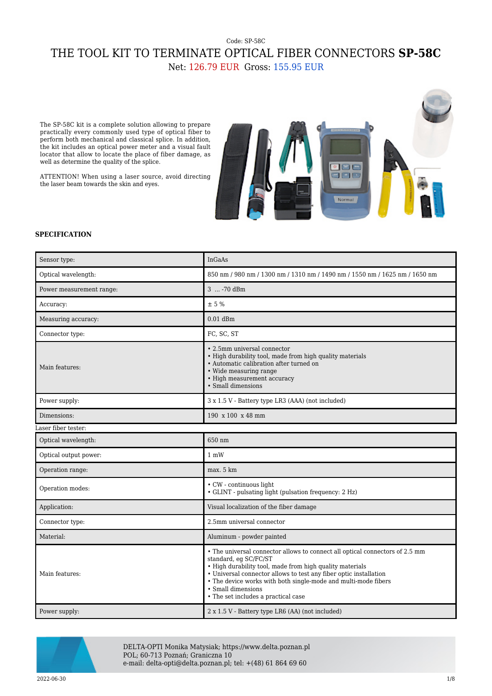## Code: SP-58C THE TOOL KIT TO TERMINATE OPTICAL FIBER CONNECTORS **SP-58C** Net: 126.79 EUR Gross: 155.95 EUR

The SP-58C kit is a complete solution allowing to prepare practically every commonly used type of optical fiber to perform both mechanical and classical splice. In addition, the kit includes an optical power meter and a visual fault locator that allow to locate the place of fiber damage, as well as determine the quality of the splice.

ATTENTION! When using a laser source, avoid directing the laser beam towards the skin and eyes.



## **SPECIFICATION**

| Sensor type:             | <b>InGaAs</b>                                                                                                                                                                                                                                                                                                                                                         |  |
|--------------------------|-----------------------------------------------------------------------------------------------------------------------------------------------------------------------------------------------------------------------------------------------------------------------------------------------------------------------------------------------------------------------|--|
| Optical wavelength:      | 850 nm / 980 nm / 1300 nm / 1310 nm / 1490 nm / 1550 nm / 1625 nm / 1650 nm                                                                                                                                                                                                                                                                                           |  |
| Power measurement range: | 3  -70 dBm                                                                                                                                                                                                                                                                                                                                                            |  |
| Accuracy:                | $\pm$ 5 %                                                                                                                                                                                                                                                                                                                                                             |  |
| Measuring accuracy:      | $0.01$ dBm                                                                                                                                                                                                                                                                                                                                                            |  |
| Connector type:          | FC, SC, ST                                                                                                                                                                                                                                                                                                                                                            |  |
| Main features:           | • 2.5mm universal connector<br>• High durability tool, made from high quality materials<br>• Automatic calibration after turned on<br>• Wide measuring range<br>• High measurement accuracy<br>• Small dimensions                                                                                                                                                     |  |
| Power supply:            | 3 x 1.5 V - Battery type LR3 (AAA) (not included)                                                                                                                                                                                                                                                                                                                     |  |
| Dimensions:              | 190 x 100 x 48 mm                                                                                                                                                                                                                                                                                                                                                     |  |
| aser fiber tester:       |                                                                                                                                                                                                                                                                                                                                                                       |  |
| Optical wavelength:      | 650 nm                                                                                                                                                                                                                                                                                                                                                                |  |
| Optical output power:    | $1 \text{ mW}$                                                                                                                                                                                                                                                                                                                                                        |  |
| Operation range:         | max. 5 km                                                                                                                                                                                                                                                                                                                                                             |  |
| Operation modes:         | • CW - continuous light<br>• GLINT - pulsating light (pulsation frequency: 2 Hz)                                                                                                                                                                                                                                                                                      |  |
| Application:             | Visual localization of the fiber damage                                                                                                                                                                                                                                                                                                                               |  |
| Connector type:          | 2.5mm universal connector                                                                                                                                                                                                                                                                                                                                             |  |
| Material:                | Aluminum - powder painted                                                                                                                                                                                                                                                                                                                                             |  |
| Main features:           | • The universal connector allows to connect all optical connectors of 2.5 mm<br>standard, eg SC/FC/ST<br>• High durability tool, made from high quality materials<br>• Universal connector allows to test any fiber optic installation<br>• The device works with both single-mode and multi-mode fibers<br>• Small dimensions<br>• The set includes a practical case |  |
| Power supply:            | 2 x 1.5 V - Battery type LR6 (AA) (not included)                                                                                                                                                                                                                                                                                                                      |  |



DELTA-OPTI Monika Matysiak; https://www.delta.poznan.pl POL; 60-713 Poznań; Graniczna 10 e-mail: delta-opti@delta.poznan.pl; tel: +(48) 61 864 69 60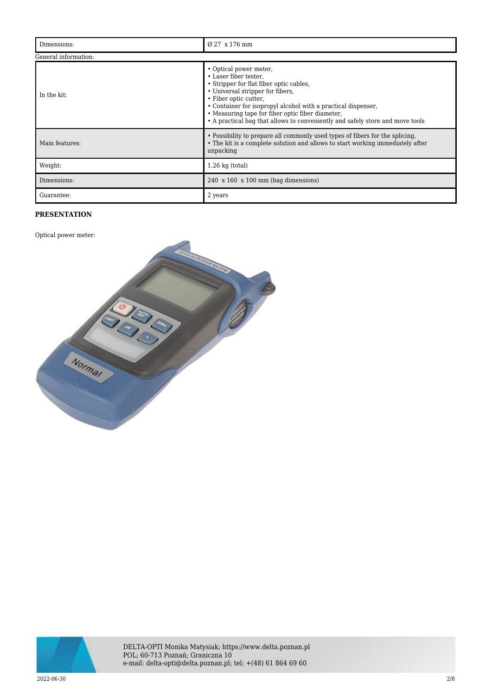| Dimensions:          | Ø 27 x 176 mm                                                                                                                                                                                                                                                                                                                                                 |  |
|----------------------|---------------------------------------------------------------------------------------------------------------------------------------------------------------------------------------------------------------------------------------------------------------------------------------------------------------------------------------------------------------|--|
| General information: |                                                                                                                                                                                                                                                                                                                                                               |  |
| In the kit:          | • Optical power meter,<br>• Laser fiber tester.<br>• Stripper for flat fiber optic cables,<br>• Universal stripper for fibers,<br>• Fiber optic cutter,<br>• Container for isopropyl alcohol with a practical dispenser,<br>• Measuring tape for fiber optic fiber diameter,<br>• A practical bag that allows to conveniently and safely store and move tools |  |
| Main features:       | • Possibility to prepare all commonly used types of fibers for the splicing,<br>• The kit is a complete solution and allows to start working immediately after<br>unpacking                                                                                                                                                                                   |  |
| Weight:              | $1.26$ kg (total)                                                                                                                                                                                                                                                                                                                                             |  |
| Dimensions:          | $240 \times 160 \times 100 \text{ mm}$ (bag dimensions)                                                                                                                                                                                                                                                                                                       |  |
| Guarantee:           | 2 years                                                                                                                                                                                                                                                                                                                                                       |  |

## **PRESENTATION**

Optical power meter:



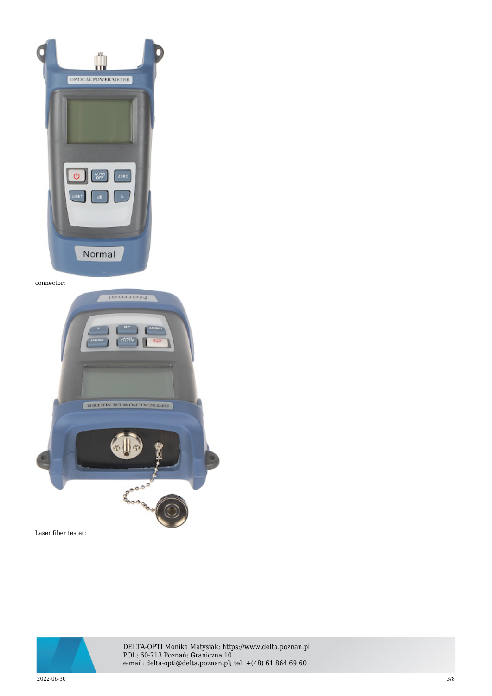

connector:



Laser fiber tester:



DELTA-OPTI Monika Matysiak; https://www.delta.poznan.pl POL; 60-713 Poznań; Graniczna 10 e-mail: delta-opti@delta.poznan.pl; tel: +(48) 61 864 69 60

 $2022{\cdot}06{\cdot}30$   $3/8$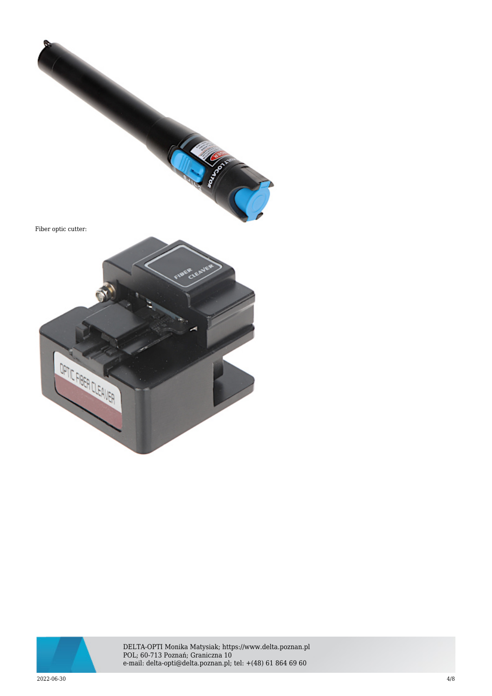



DELTA-OPTI Monika Matysiak; https://www.delta.poznan.pl POL; 60-713 Poznań; Graniczna 10 e-mail: delta-opti@delta.poznan.pl; tel: +(48) 61 864 69 60

 $2022{\cdot}06{\cdot}30$  and  $4/8$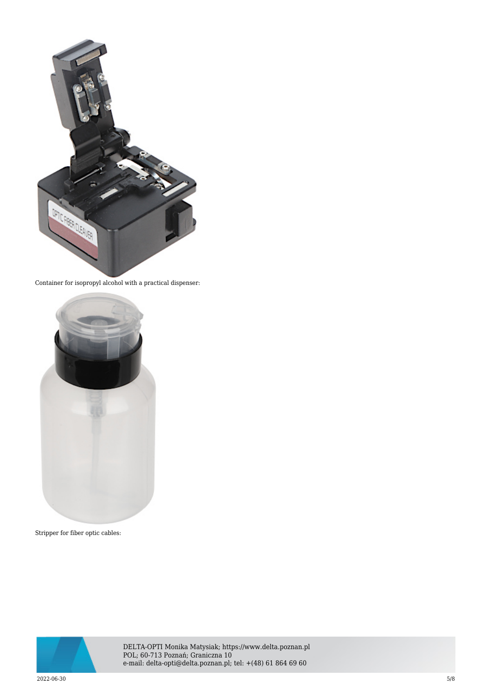

Container for isopropyl alcohol with a practical dispenser:



Stripper for fiber optic cables:



DELTA-OPTI Monika Matysiak; https://www.delta.poznan.pl POL; 60-713 Poznań; Graniczna 10 e-mail: delta-opti@delta.poznan.pl; tel: +(48) 61 864 69 60

 $2022{\cdot}06{\cdot}30$   $5/8$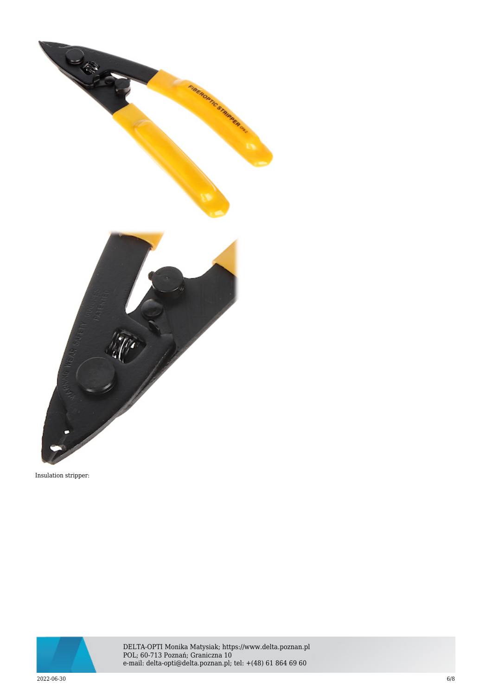

Insulation stripper:



DELTA-OPTI Monika Matysiak; https://www.delta.poznan.pl POL; 60-713 Poznań; Graniczna 10 e-mail: delta-opti@delta.poznan.pl; tel: +(48) 61 864 69 60

 $2022{\cdot}06{\cdot}30$  6/8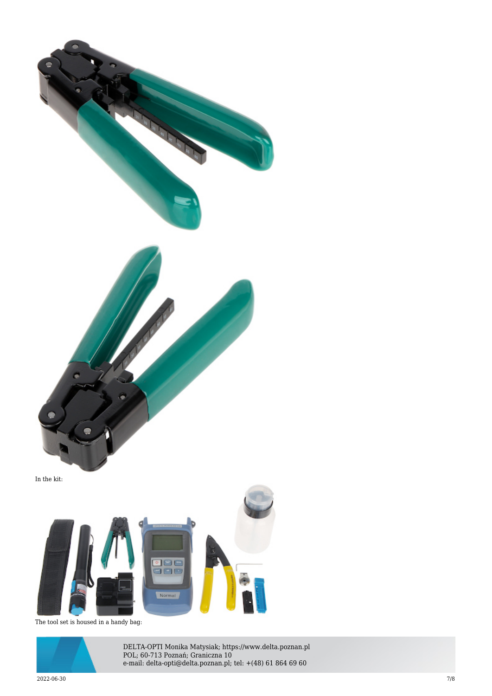

The tool set is housed in a handy bag:



DELTA-OPTI Monika Matysiak; https://www.delta.poznan.pl POL; 60-713 Poznań; Graniczna 10 e-mail: delta-opti@delta.poznan.pl; tel: +(48) 61 864 69 60

 $2022$ -06-30  $7/8$